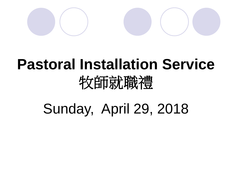

## **Pastoral Installation Service** 牧師就職禮

Sunday, April 29, 2018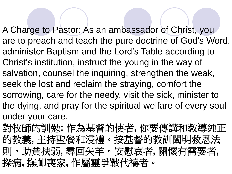A Charge to Pastor: As an ambassador of Christ, you are to preach and teach the pure doctrine of God's Word, administer Baptism and the Lord's Table according to Christ's institution, instruct the young in the way of salvation, counsel the inquiring, strengthen the weak, seek the lost and reclaim the straying, comfort the sorrowing, care for the needy, visit the sick, minister to the dying, and pray for the spiritual welfare of every soul under your care.

對牧師的訓勉**:** 作為基督的使者**,** 你要傳講和教導純正 的教義**,** 主持聖餐和浸禮。按基督的教訓闡明救恩法 則。助貧扶弱**,** 尋回失羊。安慰哀者**,** 關懷有需要者**,**  探病**,** 撫卹喪家**,** 作屬靈爭戰代禱者。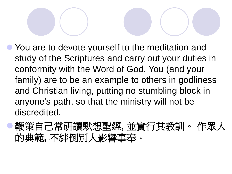● You are to devote yourself to the meditation and study of the Scriptures and carry out your duties in conformity with the Word of God. You (and your family) are to be an example to others in godliness and Christian living, putting no stumbling block in anyone's path, so that the ministry will not be discredited.

⚫鞭策自己常研讀默想聖經**,** 並實行其教訓。 作眾人 的典範**,** 不絆倒別人影響事奉。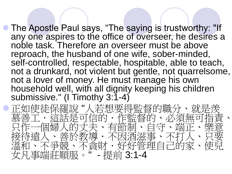⚫ The Apostle Paul says, "The saying is trustworthy: "If any one aspires to the office of overseer, he desires a noble task. Therefore an overseer must be above reproach, the husband of one wife, sober-minded, self-controlled, respectable, hospitable, able to teach, not a drunkard, not violent but gentle, not quarrelsome, not a lover of money. He must manage his own household well, with all dignity keeping his children submissive." (I Timothy 3:1-4)

⚫正如使徒保羅說 "人若想要得監督的職分、就是羨 慕善工.這話是可信的,作監督的、必須無可指<br>只作一個婦人的丈夫、有節制、自守、端正、樂 只作一個婦人的丈夫、有節制、自守 妾待遠人、善於教導・不因洒滋事、不打 溫和、不爭競、不貪財·好好管理自己的家 女凡事端莊順服。" - 提前 3:1-4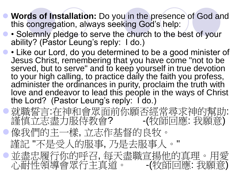- ⚫ **Words of Installation:** Do you in the presence of God and this congregation, always seeking God's help:
	- ⚫ Solemnly pledge to serve the church to the best of your ability? (Pastor Leung's reply: I do.)
- • Like our Lord, do you determined to be a good minister of Jesus Christ, remembering that you have come "not to be served, but to serve" and to keep yourself in true devotion to your high calling, to practice daily the faith you profess, administer the ordinances in purity, proclaim the truth with love and endeavor to lead this people in the ways of Christ the Lord? (Pastor Leung's reply: I do.)

⚫就職誓言:在神和會眾面前你願否經常尋求神的幫助: 謹慎立志盡力服侍教會? -(牧師回應: 我願意) 像我們的主一樣, 立志作基督的良牧。 謹記 "不是受人的服事, 乃是去服事人。" ●並盡忠履行你的呼召,每天盡職宣揚他的真理。用愛<br>小耐性領導會眾行主真道。 (牧師回應:我願意) 心耐性領導會眾行主真道: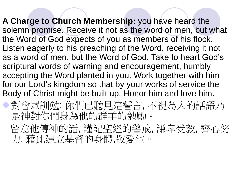**A Charge to Church Membership:** you have heard the solemn promise. Receive it not as the word of men, but what the Word of God expects of you as members of his flock. Listen eagerly to his preaching of the Word, receiving it not as a word of men, but the Word of God. Take to heart God's scriptural words of warning and encouragement, humbly accepting the Word planted in you. Work together with him for our Lord's kingdom so that by your works of service the Body of Christ might be built up. Honor him and love him.

⚫對會眾訓勉: 你們已聽見這誓言, 不視為人的話語乃 是神對你們身為他的群羊的勉勵。

留意他傳神的話, 謹記聖經的警戒, 謙卑受教, 齊心努 力, 藉此建立基督的身體,敬愛他。